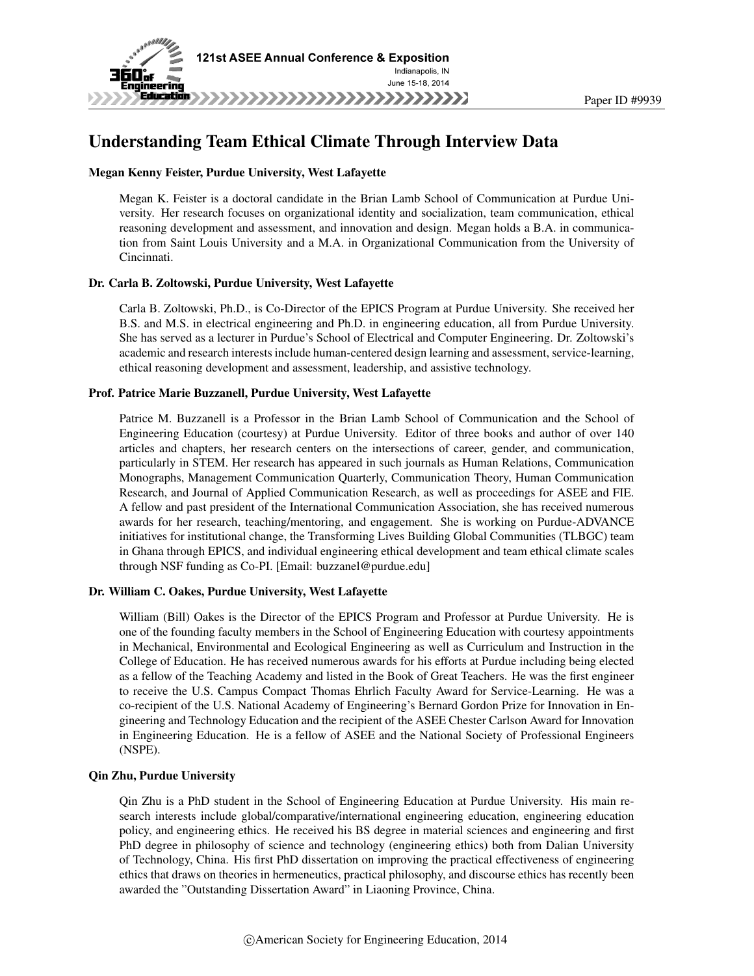

# Understanding Team Ethical Climate Through Interview Data

### Megan Kenny Feister, Purdue University, West Lafayette

Megan K. Feister is a doctoral candidate in the Brian Lamb School of Communication at Purdue University. Her research focuses on organizational identity and socialization, team communication, ethical reasoning development and assessment, and innovation and design. Megan holds a B.A. in communication from Saint Louis University and a M.A. in Organizational Communication from the University of Cincinnati.

### Dr. Carla B. Zoltowski, Purdue University, West Lafayette

Carla B. Zoltowski, Ph.D., is Co-Director of the EPICS Program at Purdue University. She received her B.S. and M.S. in electrical engineering and Ph.D. in engineering education, all from Purdue University. She has served as a lecturer in Purdue's School of Electrical and Computer Engineering. Dr. Zoltowski's academic and research interests include human-centered design learning and assessment, service-learning, ethical reasoning development and assessment, leadership, and assistive technology.

### Prof. Patrice Marie Buzzanell, Purdue University, West Lafayette

Patrice M. Buzzanell is a Professor in the Brian Lamb School of Communication and the School of Engineering Education (courtesy) at Purdue University. Editor of three books and author of over 140 articles and chapters, her research centers on the intersections of career, gender, and communication, particularly in STEM. Her research has appeared in such journals as Human Relations, Communication Monographs, Management Communication Quarterly, Communication Theory, Human Communication Research, and Journal of Applied Communication Research, as well as proceedings for ASEE and FIE. A fellow and past president of the International Communication Association, she has received numerous awards for her research, teaching/mentoring, and engagement. She is working on Purdue-ADVANCE initiatives for institutional change, the Transforming Lives Building Global Communities (TLBGC) team in Ghana through EPICS, and individual engineering ethical development and team ethical climate scales through NSF funding as Co-PI. [Email: buzzanel@purdue.edu]

#### Dr. William C. Oakes, Purdue University, West Lafayette

William (Bill) Oakes is the Director of the EPICS Program and Professor at Purdue University. He is one of the founding faculty members in the School of Engineering Education with courtesy appointments in Mechanical, Environmental and Ecological Engineering as well as Curriculum and Instruction in the College of Education. He has received numerous awards for his efforts at Purdue including being elected as a fellow of the Teaching Academy and listed in the Book of Great Teachers. He was the first engineer to receive the U.S. Campus Compact Thomas Ehrlich Faculty Award for Service-Learning. He was a co-recipient of the U.S. National Academy of Engineering's Bernard Gordon Prize for Innovation in Engineering and Technology Education and the recipient of the ASEE Chester Carlson Award for Innovation in Engineering Education. He is a fellow of ASEE and the National Society of Professional Engineers (NSPE).

#### Qin Zhu, Purdue University

Qin Zhu is a PhD student in the School of Engineering Education at Purdue University. His main research interests include global/comparative/international engineering education, engineering education policy, and engineering ethics. He received his BS degree in material sciences and engineering and first PhD degree in philosophy of science and technology (engineering ethics) both from Dalian University of Technology, China. His first PhD dissertation on improving the practical effectiveness of engineering ethics that draws on theories in hermeneutics, practical philosophy, and discourse ethics has recently been awarded the "Outstanding Dissertation Award" in Liaoning Province, China.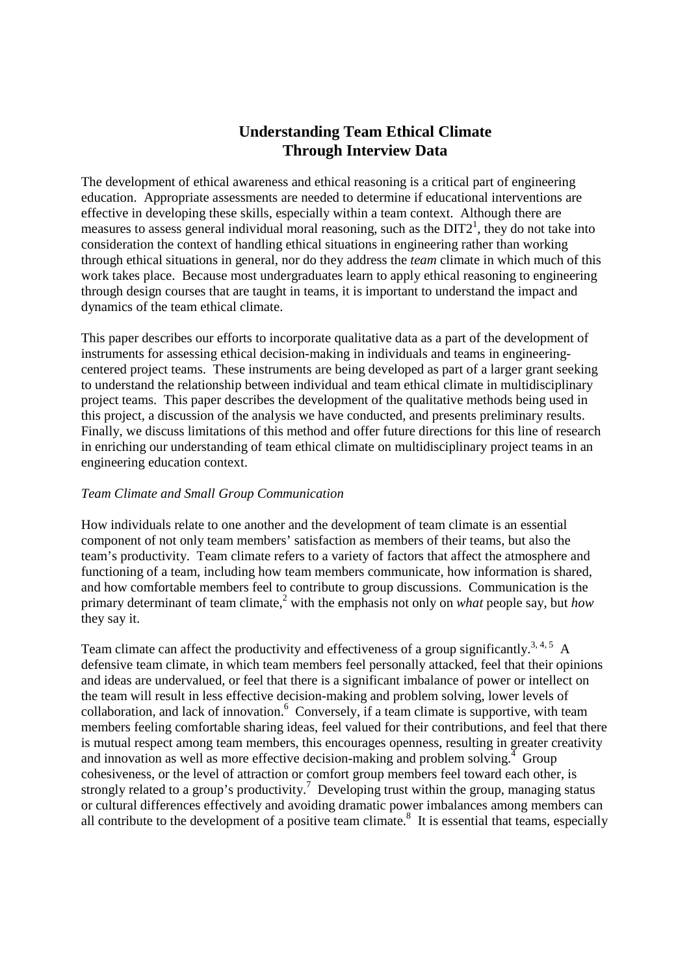# **Understanding Team Ethical Climate Through Interview Data**

The development of ethical awareness and ethical reasoning is a critical part of engineering education. Appropriate assessments are needed to determine if educational interventions are effective in developing these skills, especially within a team context. Although there are measures to assess general individual moral reasoning, such as the  $DIT2<sup>1</sup>$ , they do not take into consideration the context of handling ethical situations in engineering rather than working through ethical situations in general, nor do they address the *team* climate in which much of this work takes place. Because most undergraduates learn to apply ethical reasoning to engineering through design courses that are taught in teams, it is important to understand the impact and dynamics of the team ethical climate.

This paper describes our efforts to incorporate qualitative data as a part of the development of instruments for assessing ethical decision-making in individuals and teams in engineeringcentered project teams. These instruments are being developed as part of a larger grant seeking to understand the relationship between individual and team ethical climate in multidisciplinary project teams. This paper describes the development of the qualitative methods being used in this project, a discussion of the analysis we have conducted, and presents preliminary results. Finally, we discuss limitations of this method and offer future directions for this line of research in enriching our understanding of team ethical climate on multidisciplinary project teams in an engineering education context.

## *Team Climate and Small Group Communication*

How individuals relate to one another and the development of team climate is an essential component of not only team members' satisfaction as members of their teams, but also the team's productivity. Team climate refers to a variety of factors that affect the atmosphere and functioning of a team, including how team members communicate, how information is shared, and how comfortable members feel to contribute to group discussions. Communication is the primary determinant of team climate,<sup>2</sup> with the emphasis not only on *what* people say, but *how* they say it.

Team climate can affect the productivity and effectiveness of a group significantly.<sup>3, 4, 5</sup> A defensive team climate, in which team members feel personally attacked, feel that their opinions and ideas are undervalued, or feel that there is a significant imbalance of power or intellect on the team will result in less effective decision-making and problem solving, lower levels of collaboration, and lack of innovation.<sup>6</sup> Conversely, if a team climate is supportive, with team members feeling comfortable sharing ideas, feel valued for their contributions, and feel that there is mutual respect among team members, this encourages openness, resulting in greater creativity and innovation as well as more effective decision-making and problem solving.<sup> $4$ </sup> Group cohesiveness, or the level of attraction or comfort group members feel toward each other, is strongly related to a group's productivity.<sup>7</sup> Developing trust within the group, managing status or cultural differences effectively and avoiding dramatic power imbalances among members can all contribute to the development of a positive team climate. $\delta$  It is essential that teams, especially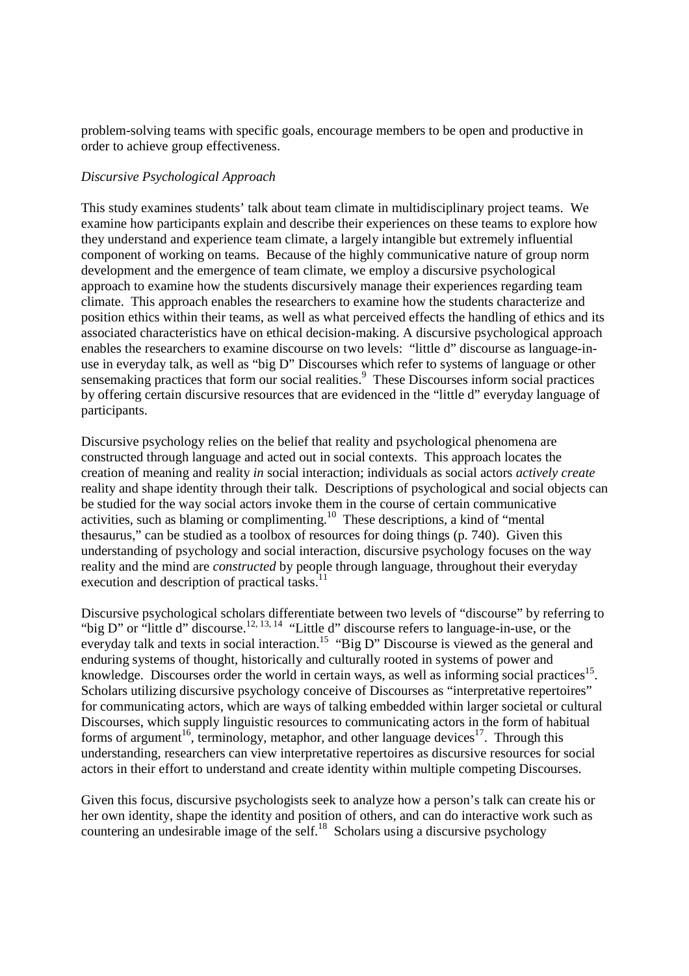problem-solving teams with specific goals, encourage members to be open and productive in order to achieve group effectiveness.

# *Discursive Psychological Approach*

This study examines students' talk about team climate in multidisciplinary project teams. We examine how participants explain and describe their experiences on these teams to explore how they understand and experience team climate, a largely intangible but extremely influential component of working on teams. Because of the highly communicative nature of group norm development and the emergence of team climate, we employ a discursive psychological approach to examine how the students discursively manage their experiences regarding team climate. This approach enables the researchers to examine how the students characterize and position ethics within their teams, as well as what perceived effects the handling of ethics and its associated characteristics have on ethical decision-making. A discursive psychological approach enables the researchers to examine discourse on two levels: "little d" discourse as language-inuse in everyday talk, as well as "big D" Discourses which refer to systems of language or other sensemaking practices that form our social realities.<sup>9</sup> These Discourses inform social practices by offering certain discursive resources that are evidenced in the "little d" everyday language of participants.

Discursive psychology relies on the belief that reality and psychological phenomena are constructed through language and acted out in social contexts. This approach locates the creation of meaning and reality *in* social interaction; individuals as social actors *actively create* reality and shape identity through their talk. Descriptions of psychological and social objects can be studied for the way social actors invoke them in the course of certain communicative activities, such as blaming or complimenting.<sup>10</sup> These descriptions, a kind of "mental" thesaurus," can be studied as a toolbox of resources for doing things (p. 740). Given this understanding of psychology and social interaction, discursive psychology focuses on the way reality and the mind are *constructed* by people through language, throughout their everyday execution and description of practical tasks. $11$ 

Discursive psychological scholars differentiate between two levels of "discourse" by referring to "big D" or "little d" discourse.<sup>12, 13, 14</sup> "Little d" discourse refers to language-in-use, or the everyday talk and texts in social interaction.<sup>15</sup> "Big D" Discourse is viewed as the general and enduring systems of thought, historically and culturally rooted in systems of power and knowledge. Discourses order the world in certain ways, as well as informing social practices<sup>15</sup>. Scholars utilizing discursive psychology conceive of Discourses as "interpretative repertoires" for communicating actors, which are ways of talking embedded within larger societal or cultural Discourses, which supply linguistic resources to communicating actors in the form of habitual forms of argument<sup>16</sup>, terminology, metaphor, and other language devices<sup>17</sup>. Through this understanding, researchers can view interpretative repertoires as discursive resources for social actors in their effort to understand and create identity within multiple competing Discourses.

Given this focus, discursive psychologists seek to analyze how a person's talk can create his or her own identity, shape the identity and position of others, and can do interactive work such as countering an undesirable image of the self.<sup>18</sup> Scholars using a discursive psychology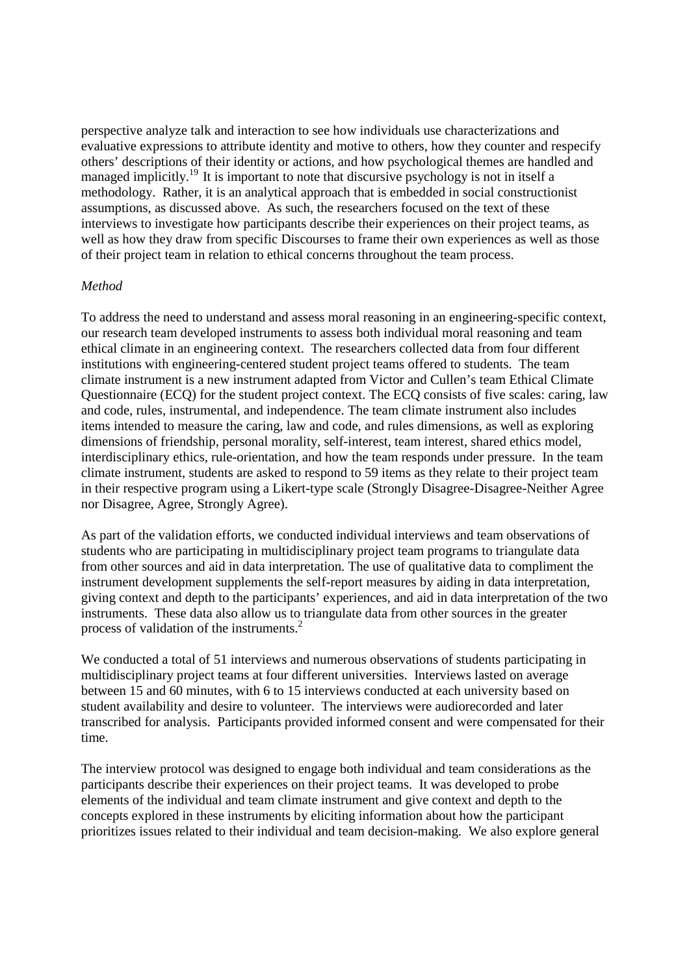perspective analyze talk and interaction to see how individuals use characterizations and evaluative expressions to attribute identity and motive to others, how they counter and respecify others' descriptions of their identity or actions, and how psychological themes are handled and managed implicitly.<sup>19</sup> It is important to note that discursive psychology is not in itself a methodology. Rather, it is an analytical approach that is embedded in social constructionist assumptions, as discussed above. As such, the researchers focused on the text of these interviews to investigate how participants describe their experiences on their project teams, as well as how they draw from specific Discourses to frame their own experiences as well as those of their project team in relation to ethical concerns throughout the team process.

## *Method*

To address the need to understand and assess moral reasoning in an engineering-specific context, our research team developed instruments to assess both individual moral reasoning and team ethical climate in an engineering context. The researchers collected data from four different institutions with engineering-centered student project teams offered to students. The team climate instrument is a new instrument adapted from Victor and Cullen's team Ethical Climate Questionnaire (ECQ) for the student project context. The ECQ consists of five scales: caring, law and code, rules, instrumental, and independence. The team climate instrument also includes items intended to measure the caring, law and code, and rules dimensions, as well as exploring dimensions of friendship, personal morality, self-interest, team interest, shared ethics model, interdisciplinary ethics, rule-orientation, and how the team responds under pressure. In the team climate instrument, students are asked to respond to 59 items as they relate to their project team in their respective program using a Likert-type scale (Strongly Disagree-Disagree-Neither Agree nor Disagree, Agree, Strongly Agree).

As part of the validation efforts, we conducted individual interviews and team observations of students who are participating in multidisciplinary project team programs to triangulate data from other sources and aid in data interpretation. The use of qualitative data to compliment the instrument development supplements the self-report measures by aiding in data interpretation, giving context and depth to the participants' experiences, and aid in data interpretation of the two instruments. These data also allow us to triangulate data from other sources in the greater process of validation of the instruments.<sup>2</sup>

We conducted a total of 51 interviews and numerous observations of students participating in multidisciplinary project teams at four different universities. Interviews lasted on average between 15 and 60 minutes, with 6 to 15 interviews conducted at each university based on student availability and desire to volunteer. The interviews were audiorecorded and later transcribed for analysis. Participants provided informed consent and were compensated for their time.

The interview protocol was designed to engage both individual and team considerations as the participants describe their experiences on their project teams. It was developed to probe elements of the individual and team climate instrument and give context and depth to the concepts explored in these instruments by eliciting information about how the participant prioritizes issues related to their individual and team decision-making. We also explore general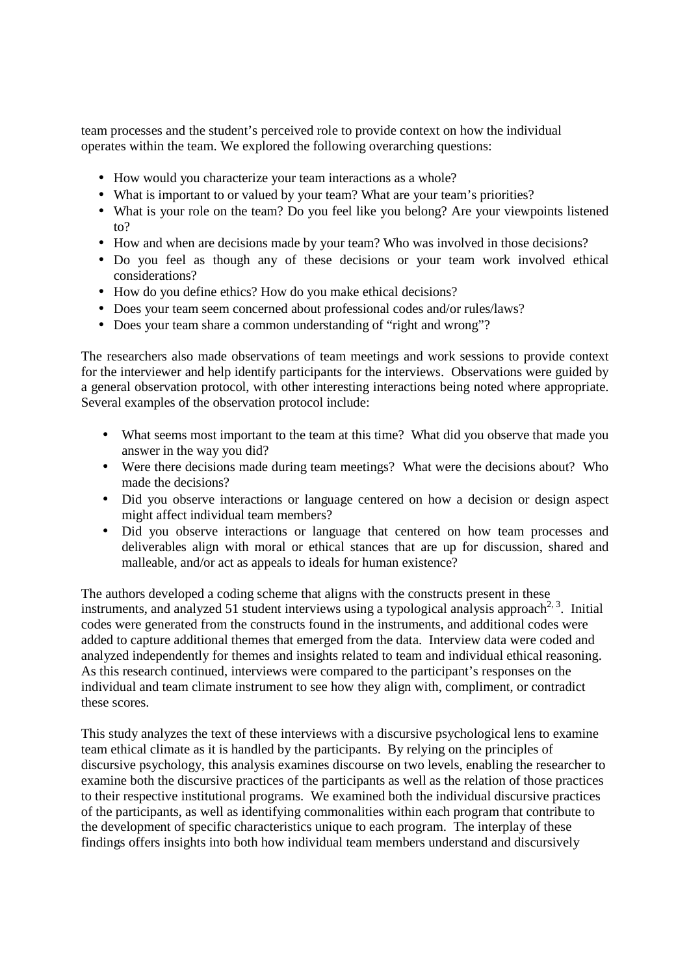team processes and the student's perceived role to provide context on how the individual operates within the team. We explored the following overarching questions:

- How would you characterize your team interactions as a whole?
- What is important to or valued by your team? What are your team's priorities?
- What is your role on the team? Do you feel like you belong? Are your viewpoints listened to?
- How and when are decisions made by your team? Who was involved in those decisions?
- Do you feel as though any of these decisions or your team work involved ethical considerations?
- How do you define ethics? How do you make ethical decisions?
- Does your team seem concerned about professional codes and/or rules/laws?
- Does your team share a common understanding of "right and wrong"?

The researchers also made observations of team meetings and work sessions to provide context for the interviewer and help identify participants for the interviews. Observations were guided by a general observation protocol, with other interesting interactions being noted where appropriate. Several examples of the observation protocol include:

- What seems most important to the team at this time? What did you observe that made you answer in the way you did?
- Were there decisions made during team meetings? What were the decisions about? Who made the decisions?
- Did you observe interactions or language centered on how a decision or design aspect might affect individual team members?
- Did you observe interactions or language that centered on how team processes and deliverables align with moral or ethical stances that are up for discussion, shared and malleable, and/or act as appeals to ideals for human existence?

The authors developed a coding scheme that aligns with the constructs present in these instruments, and analyzed 51 student interviews using a typological analysis approach<sup>2, 3</sup>. Initial codes were generated from the constructs found in the instruments, and additional codes were added to capture additional themes that emerged from the data. Interview data were coded and analyzed independently for themes and insights related to team and individual ethical reasoning. As this research continued, interviews were compared to the participant's responses on the individual and team climate instrument to see how they align with, compliment, or contradict these scores.

This study analyzes the text of these interviews with a discursive psychological lens to examine team ethical climate as it is handled by the participants. By relying on the principles of discursive psychology, this analysis examines discourse on two levels, enabling the researcher to examine both the discursive practices of the participants as well as the relation of those practices to their respective institutional programs. We examined both the individual discursive practices of the participants, as well as identifying commonalities within each program that contribute to the development of specific characteristics unique to each program. The interplay of these findings offers insights into both how individual team members understand and discursively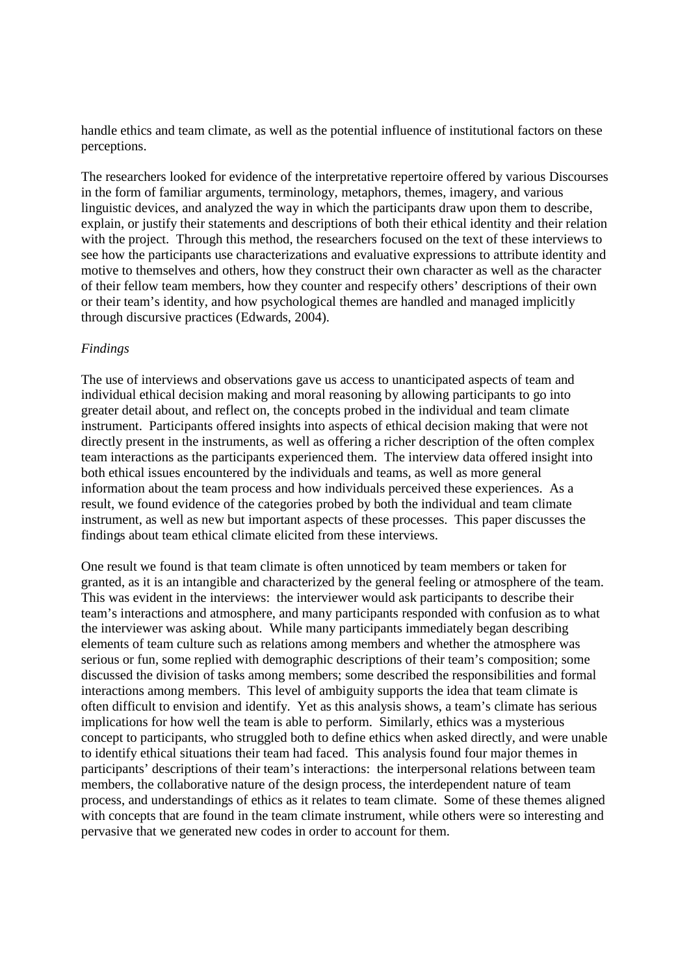handle ethics and team climate, as well as the potential influence of institutional factors on these perceptions.

The researchers looked for evidence of the interpretative repertoire offered by various Discourses in the form of familiar arguments, terminology, metaphors, themes, imagery, and various linguistic devices, and analyzed the way in which the participants draw upon them to describe, explain, or justify their statements and descriptions of both their ethical identity and their relation with the project. Through this method, the researchers focused on the text of these interviews to see how the participants use characterizations and evaluative expressions to attribute identity and motive to themselves and others, how they construct their own character as well as the character of their fellow team members, how they counter and respecify others' descriptions of their own or their team's identity, and how psychological themes are handled and managed implicitly through discursive practices (Edwards, 2004).

## *Findings*

The use of interviews and observations gave us access to unanticipated aspects of team and individual ethical decision making and moral reasoning by allowing participants to go into greater detail about, and reflect on, the concepts probed in the individual and team climate instrument. Participants offered insights into aspects of ethical decision making that were not directly present in the instruments, as well as offering a richer description of the often complex team interactions as the participants experienced them. The interview data offered insight into both ethical issues encountered by the individuals and teams, as well as more general information about the team process and how individuals perceived these experiences. As a result, we found evidence of the categories probed by both the individual and team climate instrument, as well as new but important aspects of these processes. This paper discusses the findings about team ethical climate elicited from these interviews.

One result we found is that team climate is often unnoticed by team members or taken for granted, as it is an intangible and characterized by the general feeling or atmosphere of the team. This was evident in the interviews: the interviewer would ask participants to describe their team's interactions and atmosphere, and many participants responded with confusion as to what the interviewer was asking about. While many participants immediately began describing elements of team culture such as relations among members and whether the atmosphere was serious or fun, some replied with demographic descriptions of their team's composition; some discussed the division of tasks among members; some described the responsibilities and formal interactions among members. This level of ambiguity supports the idea that team climate is often difficult to envision and identify. Yet as this analysis shows, a team's climate has serious implications for how well the team is able to perform. Similarly, ethics was a mysterious concept to participants, who struggled both to define ethics when asked directly, and were unable to identify ethical situations their team had faced. This analysis found four major themes in participants' descriptions of their team's interactions: the interpersonal relations between team members, the collaborative nature of the design process, the interdependent nature of team process, and understandings of ethics as it relates to team climate. Some of these themes aligned with concepts that are found in the team climate instrument, while others were so interesting and pervasive that we generated new codes in order to account for them.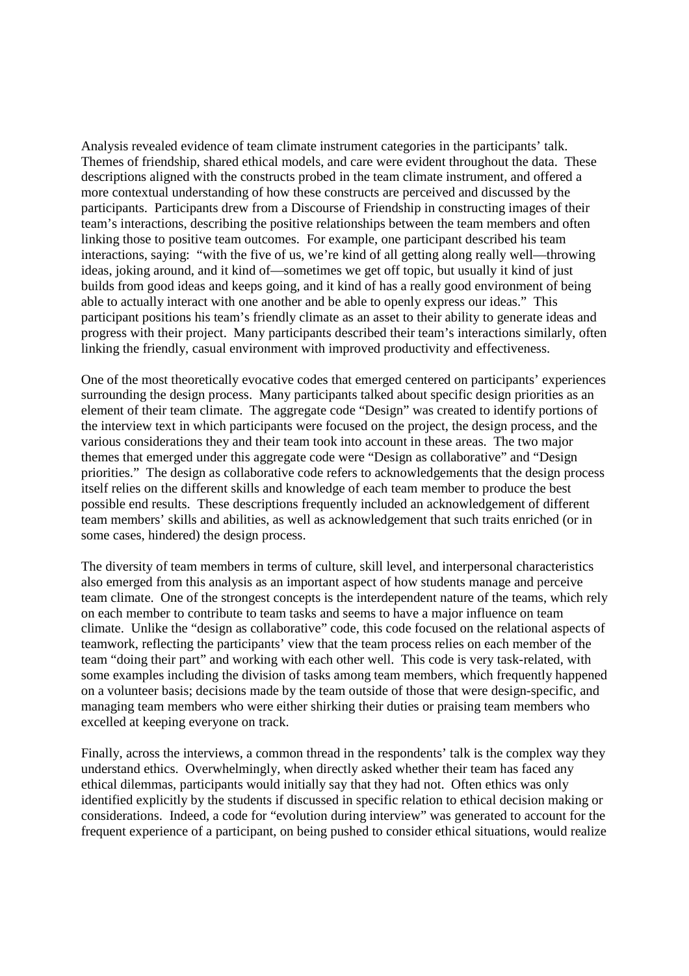Analysis revealed evidence of team climate instrument categories in the participants' talk. Themes of friendship, shared ethical models, and care were evident throughout the data. These descriptions aligned with the constructs probed in the team climate instrument, and offered a more contextual understanding of how these constructs are perceived and discussed by the participants. Participants drew from a Discourse of Friendship in constructing images of their team's interactions, describing the positive relationships between the team members and often linking those to positive team outcomes. For example, one participant described his team interactions, saying: "with the five of us, we're kind of all getting along really well—throwing ideas, joking around, and it kind of—sometimes we get off topic, but usually it kind of just builds from good ideas and keeps going, and it kind of has a really good environment of being able to actually interact with one another and be able to openly express our ideas." This participant positions his team's friendly climate as an asset to their ability to generate ideas and progress with their project. Many participants described their team's interactions similarly, often linking the friendly, casual environment with improved productivity and effectiveness.

One of the most theoretically evocative codes that emerged centered on participants' experiences surrounding the design process. Many participants talked about specific design priorities as an element of their team climate. The aggregate code "Design" was created to identify portions of the interview text in which participants were focused on the project, the design process, and the various considerations they and their team took into account in these areas. The two major themes that emerged under this aggregate code were "Design as collaborative" and "Design priorities." The design as collaborative code refers to acknowledgements that the design process itself relies on the different skills and knowledge of each team member to produce the best possible end results. These descriptions frequently included an acknowledgement of different team members' skills and abilities, as well as acknowledgement that such traits enriched (or in some cases, hindered) the design process.

The diversity of team members in terms of culture, skill level, and interpersonal characteristics also emerged from this analysis as an important aspect of how students manage and perceive team climate. One of the strongest concepts is the interdependent nature of the teams, which rely on each member to contribute to team tasks and seems to have a major influence on team climate. Unlike the "design as collaborative" code, this code focused on the relational aspects of teamwork, reflecting the participants' view that the team process relies on each member of the team "doing their part" and working with each other well. This code is very task-related, with some examples including the division of tasks among team members, which frequently happened on a volunteer basis; decisions made by the team outside of those that were design-specific, and managing team members who were either shirking their duties or praising team members who excelled at keeping everyone on track.

Finally, across the interviews, a common thread in the respondents' talk is the complex way they understand ethics. Overwhelmingly, when directly asked whether their team has faced any ethical dilemmas, participants would initially say that they had not. Often ethics was only identified explicitly by the students if discussed in specific relation to ethical decision making or considerations. Indeed, a code for "evolution during interview" was generated to account for the frequent experience of a participant, on being pushed to consider ethical situations, would realize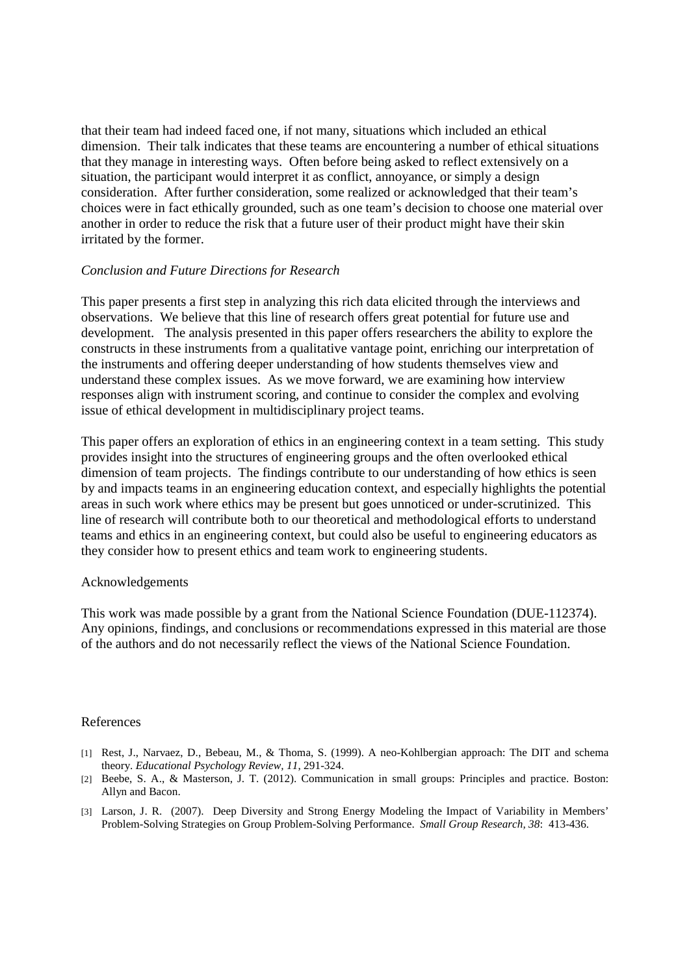that their team had indeed faced one, if not many, situations which included an ethical dimension. Their talk indicates that these teams are encountering a number of ethical situations that they manage in interesting ways. Often before being asked to reflect extensively on a situation, the participant would interpret it as conflict, annoyance, or simply a design consideration. After further consideration, some realized or acknowledged that their team's choices were in fact ethically grounded, such as one team's decision to choose one material over another in order to reduce the risk that a future user of their product might have their skin irritated by the former.

## *Conclusion and Future Directions for Research*

This paper presents a first step in analyzing this rich data elicited through the interviews and observations. We believe that this line of research offers great potential for future use and development. The analysis presented in this paper offers researchers the ability to explore the constructs in these instruments from a qualitative vantage point, enriching our interpretation of the instruments and offering deeper understanding of how students themselves view and understand these complex issues. As we move forward, we are examining how interview responses align with instrument scoring, and continue to consider the complex and evolving issue of ethical development in multidisciplinary project teams.

This paper offers an exploration of ethics in an engineering context in a team setting. This study provides insight into the structures of engineering groups and the often overlooked ethical dimension of team projects. The findings contribute to our understanding of how ethics is seen by and impacts teams in an engineering education context, and especially highlights the potential areas in such work where ethics may be present but goes unnoticed or under-scrutinized. This line of research will contribute both to our theoretical and methodological efforts to understand teams and ethics in an engineering context, but could also be useful to engineering educators as they consider how to present ethics and team work to engineering students.

## Acknowledgements

This work was made possible by a grant from the National Science Foundation (DUE-112374). Any opinions, findings, and conclusions or recommendations expressed in this material are those of the authors and do not necessarily reflect the views of the National Science Foundation.

## References

- [1] Rest, J., Narvaez, D., Bebeau, M., & Thoma, S. (1999). A neo-Kohlbergian approach: The DIT and schema theory. *Educational Psychology Review, 11*, 291-324.
- [2] Beebe, S. A., & Masterson, J. T. (2012). Communication in small groups: Principles and practice. Boston: Allyn and Bacon.
- [3] Larson, J. R. (2007). Deep Diversity and Strong Energy Modeling the Impact of Variability in Members' Problem-Solving Strategies on Group Problem-Solving Performance. *Small Group Research, 38*: 413-436.